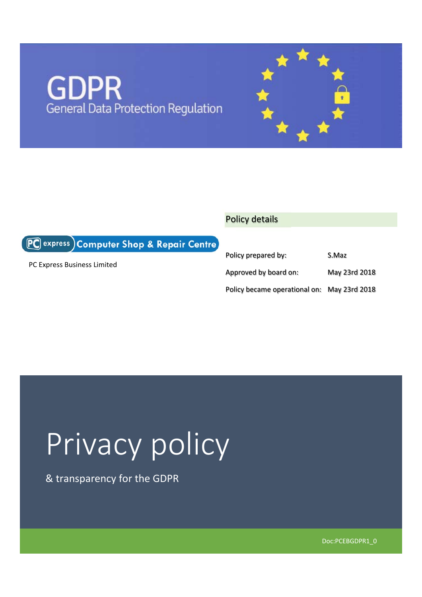## **GDPR** General Data Protection Regulation

### Policy details

PC express) Computer Shop & Repair Centre

PC Express Business Limited

| Policy prepared by:                         | S.Maz         |
|---------------------------------------------|---------------|
| Approved by board on:                       | May 23rd 2018 |
| Policy became operational on: May 23rd 2018 |               |

# Privacy policy

& transparency for the GDPR

Doc:PCEBGDPR1\_0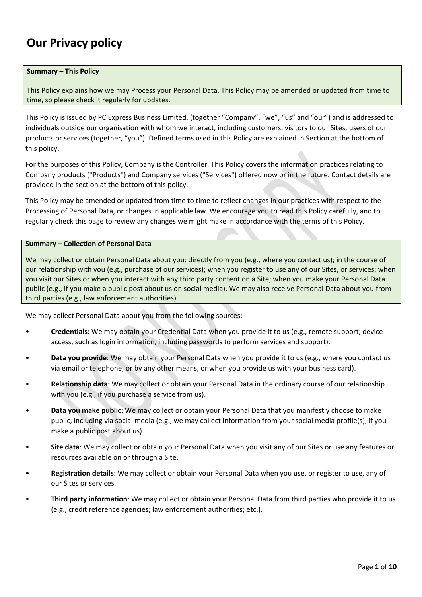### **Our Privacy policy**

#### **Summary – This Policy**

This Policy explains how we may Process your Personal Data. This Policy may be amended or updated from time to time, so please check it regularly for updates.

This Policy is issued by PC Express Business Limited. (together "Company", "we", "us" and "our") and is addressed to individuals outside our organisation with whom we interact, including customers, visitors to our Sites, users of our products or services (together, "you"). Defined terms used in this Policy are explained in Section at the bottom of this policy.

For the purposes of this Policy, Company is the Controller. This Policy covers the information practices relating to Company products ("Products") and Company services ("Services") offered now or in the future. Contact details are provided in the section at the bottom of this policy.

This Policy may be amended or updated from time to time to reflect changes in our practices with respect to the Processing of Personal Data, or changes in applicable law. We encourage you to read this Policy carefully, and to regularly check this page to review any changes we might make in accordance with the terms of this Policy.

#### **Summary – Collection of Personal Data**

We may collect or obtain Personal Data about you: directly from you (e.g., where you contact us); in the course of our relationship with you (e.g., purchase of our services); when you register to use any of our Sites, or services; when you visit our Sites or when you interact with any third party content on a Site; when you make your Personal Data public (e.g., if you make a public post about us on social media). We may also receive Personal Data about you from third parties (e.g., law enforcement authorities).

We may collect Personal Data about you from the following sources:

- **Credentials**: We may obtain your Credential Data when you provide it to us (e.g., remote support; device access, such as login information, including passwords to perform services and support).
- **Data you provide**: We may obtain your Personal Data when you provide it to us (e.g., where you contact us via email or telephone, or by any other means, or when you provide us with your business card).
- **Relationship data**: We may collect or obtain your Personal Data in the ordinary course of our relationship with you (e.g., if you purchase a service from us).
- **Data you make public**: We may collect or obtain your Personal Data that you manifestly choose to make public, including via social media (e.g., we may collect information from your social media profile(s), if you make a public post about us).
- **Site data**: We may collect or obtain your Personal Data when you visit any of our Sites or use any features or resources available on or through a Site.
- **Registration details**: We may collect or obtain your Personal Data when you use, or register to use, any of our Sites or services.
- **Third party information**: We may collect or obtain your Personal Data from third parties who provide it to us (e.g., credit reference agencies; law enforcement authorities; etc.).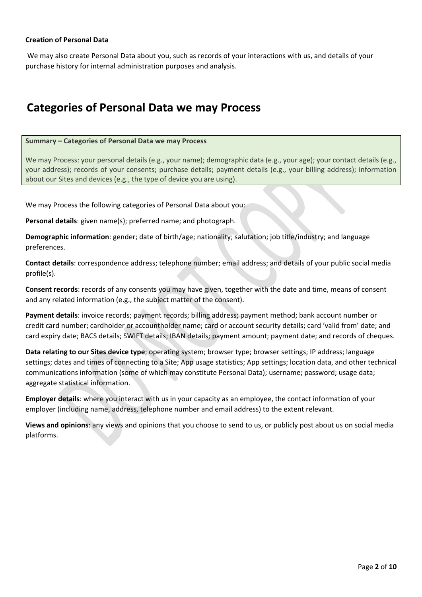### **Creation of Personal Data**

 We may also create Personal Data about you, such as records of your interactions with us, and details of your purchase history for internal administration purposes and analysis.

### **Categories of Personal Data we may Process**

#### **Summary – Categories of Personal Data we may Process**

We may Process: your personal details (e.g., your name); demographic data (e.g., your age); your contact details (e.g., your address); records of your consents; purchase details; payment details (e.g., your billing address); information about our Sites and devices (e.g., the type of device you are using).

We may Process the following categories of Personal Data about you:

**Personal details**: given name(s); preferred name; and photograph.

**Demographic information**: gender; date of birth/age; nationality; salutation; job title/industry; and language preferences.

**Contact details**: correspondence address; telephone number; email address; and details of your public social media profile(s).

**Consent records**: records of any consents you may have given, together with the date and time, means of consent and any related information (e.g., the subject matter of the consent).

**Payment details**: invoice records; payment records; billing address; payment method; bank account number or credit card number; cardholder or accountholder name; card or account security details; card 'valid from' date; and card expiry date; BACS details; SWIFT details; IBAN details; payment amount; payment date; and records of cheques.

**Data relating to our Sites device type**; operating system; browser type; browser settings; IP address; language settings; dates and times of connecting to a Site; App usage statistics; App settings; location data, and other technical communications information (some of which may constitute Personal Data); username; password; usage data; aggregate statistical information.

**Employer details**: where you interact with us in your capacity as an employee, the contact information of your employer (including name, address, telephone number and email address) to the extent relevant.

**Views and opinions**: any views and opinions that you choose to send to us, or publicly post about us on social media platforms.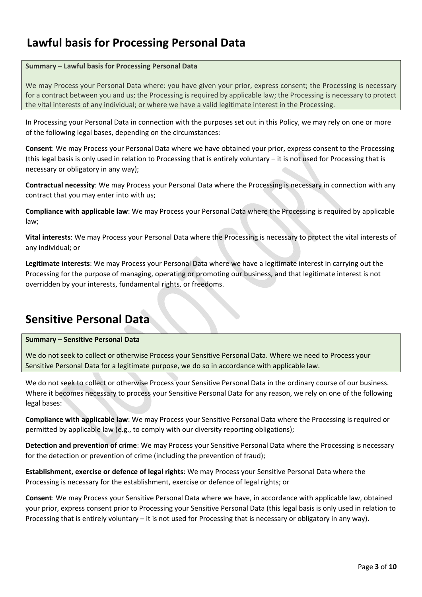### **Lawful basis for Processing Personal Data**

#### **Summary – Lawful basis for Processing Personal Data**

We may Process your Personal Data where: you have given your prior, express consent; the Processing is necessary for a contract between you and us; the Processing is required by applicable law; the Processing is necessary to protect the vital interests of any individual; or where we have a valid legitimate interest in the Processing.

In Processing your Personal Data in connection with the purposes set out in this Policy, we may rely on one or more of the following legal bases, depending on the circumstances:

**Consent**: We may Process your Personal Data where we have obtained your prior, express consent to the Processing (this legal basis is only used in relation to Processing that is entirely voluntary – it is not used for Processing that is necessary or obligatory in any way);

**Contractual necessity**: We may Process your Personal Data where the Processing is necessary in connection with any contract that you may enter into with us;

**Compliance with applicable law**: We may Process your Personal Data where the Processing is required by applicable law;

**Vital interests**: We may Process your Personal Data where the Processing is necessary to protect the vital interests of any individual; or

**Legitimate interests**: We may Process your Personal Data where we have a legitimate interest in carrying out the Processing for the purpose of managing, operating or promoting our business, and that legitimate interest is not overridden by your interests, fundamental rights, or freedoms.

### **Sensitive Personal Data**

### **Summary – Sensitive Personal Data**

We do not seek to collect or otherwise Process your Sensitive Personal Data. Where we need to Process your Sensitive Personal Data for a legitimate purpose, we do so in accordance with applicable law.

We do not seek to collect or otherwise Process your Sensitive Personal Data in the ordinary course of our business. Where it becomes necessary to process your Sensitive Personal Data for any reason, we rely on one of the following legal bases:

**Compliance with applicable law**: We may Process your Sensitive Personal Data where the Processing is required or permitted by applicable law (e.g., to comply with our diversity reporting obligations);

**Detection and prevention of crime**: We may Process your Sensitive Personal Data where the Processing is necessary for the detection or prevention of crime (including the prevention of fraud);

**Establishment, exercise or defence of legal rights**: We may Process your Sensitive Personal Data where the Processing is necessary for the establishment, exercise or defence of legal rights; or

**Consent**: We may Process your Sensitive Personal Data where we have, in accordance with applicable law, obtained your prior, express consent prior to Processing your Sensitive Personal Data (this legal basis is only used in relation to Processing that is entirely voluntary – it is not used for Processing that is necessary or obligatory in any way).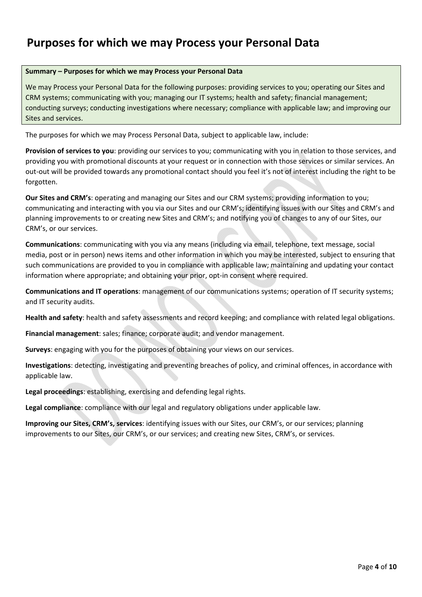### **Purposes for which we may Process your Personal Data**

#### **Summary – Purposes for which we may Process your Personal Data**

We may Process your Personal Data for the following purposes: providing services to you; operating our Sites and CRM systems; communicating with you; managing our IT systems; health and safety; financial management; conducting surveys; conducting investigations where necessary; compliance with applicable law; and improving our Sites and services.

The purposes for which we may Process Personal Data, subject to applicable law, include:

**Provision of services to you**: providing our services to you; communicating with you in relation to those services, and providing you with promotional discounts at your request or in connection with those services or similar services. An out-out will be provided towards any promotional contact should you feel it's not of interest including the right to be forgotten.

**Our Sites and CRM's**: operating and managing our Sites and our CRM systems; providing information to you; communicating and interacting with you via our Sites and our CRM's; identifying issues with our Sites and CRM's and planning improvements to or creating new Sites and CRM's; and notifying you of changes to any of our Sites, our CRM's, or our services.

**Communications**: communicating with you via any means (including via email, telephone, text message, social media, post or in person) news items and other information in which you may be interested, subject to ensuring that such communications are provided to you in compliance with applicable law; maintaining and updating your contact information where appropriate; and obtaining your prior, opt-in consent where required.

**Communications and IT operations**: management of our communications systems; operation of IT security systems; and IT security audits.

**Health and safety**: health and safety assessments and record keeping; and compliance with related legal obligations.

**Financial management**: sales; finance; corporate audit; and vendor management.

**Surveys**: engaging with you for the purposes of obtaining your views on our services.

**Investigations**: detecting, investigating and preventing breaches of policy, and criminal offences, in accordance with applicable law.

**Legal proceedings**: establishing, exercising and defending legal rights.

**Legal compliance**: compliance with our legal and regulatory obligations under applicable law.

**Improving our Sites, CRM's, services**: identifying issues with our Sites, our CRM's, or our services; planning improvements to our Sites, our CRM's, or our services; and creating new Sites, CRM's, or services.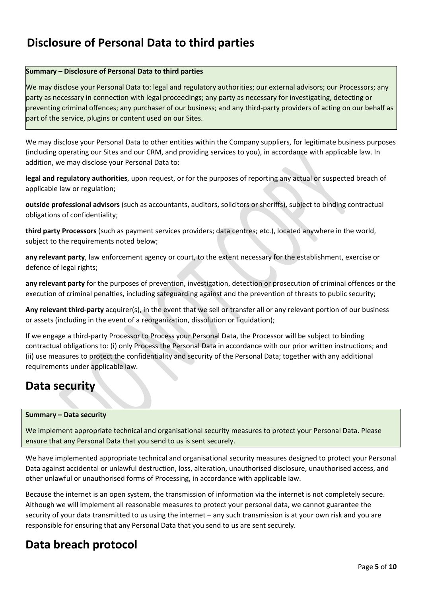### **Disclosure of Personal Data to third parties**

### **Summary – Disclosure of Personal Data to third parties**

We may disclose your Personal Data to: legal and regulatory authorities; our external advisors; our Processors; any party as necessary in connection with legal proceedings; any party as necessary for investigating, detecting or preventing criminal offences; any purchaser of our business; and any third‐party providers of acting on our behalf as part of the service, plugins or content used on our Sites.

We may disclose your Personal Data to other entities within the Company suppliers, for legitimate business purposes (including operating our Sites and our CRM, and providing services to you), in accordance with applicable law. In addition, we may disclose your Personal Data to:

**legal and regulatory authorities**, upon request, or for the purposes of reporting any actual or suspected breach of applicable law or regulation;

**outside professional advisors** (such as accountants, auditors, solicitors or sheriffs), subject to binding contractual obligations of confidentiality;

**third party Processors** (such as payment services providers; data centres; etc.), located anywhere in the world, subject to the requirements noted below;

**any relevant party**, law enforcement agency or court, to the extent necessary for the establishment, exercise or defence of legal rights;

**any relevant party** for the purposes of prevention, investigation, detection or prosecution of criminal offences or the execution of criminal penalties, including safeguarding against and the prevention of threats to public security;

Any relevant third-party acquirer(s), in the event that we sell or transfer all or any relevant portion of our business or assets (including in the event of a reorganization, dissolution or liquidation);

If we engage a third‐party Processor to Process your Personal Data, the Processor will be subject to binding contractual obligations to: (i) only Process the Personal Data in accordance with our prior written instructions; and (ii) use measures to protect the confidentiality and security of the Personal Data; together with any additional requirements under applicable law.

### **Data security**

### **Summary – Data security**

We implement appropriate technical and organisational security measures to protect your Personal Data. Please ensure that any Personal Data that you send to us is sent securely.

We have implemented appropriate technical and organisational security measures designed to protect your Personal Data against accidental or unlawful destruction, loss, alteration, unauthorised disclosure, unauthorised access, and other unlawful or unauthorised forms of Processing, in accordance with applicable law.

Because the internet is an open system, the transmission of information via the internet is not completely secure. Although we will implement all reasonable measures to protect your personal data, we cannot guarantee the security of your data transmitted to us using the internet – any such transmission is at your own risk and you are responsible for ensuring that any Personal Data that you send to us are sent securely.

### **Data breach protocol**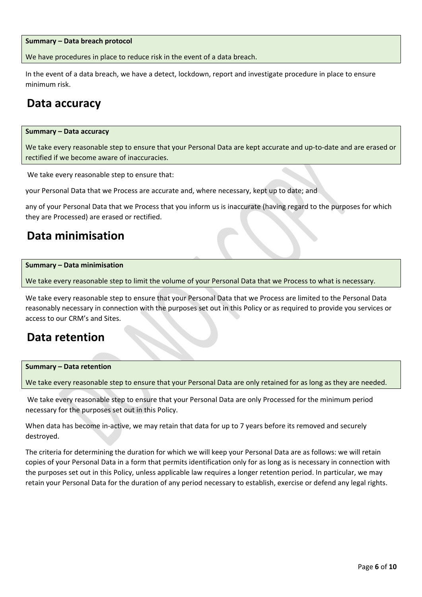#### **Summary – Data breach protocol**

We have procedures in place to reduce risk in the event of a data breach.

In the event of a data breach, we have a detect, lockdown, report and investigate procedure in place to ensure minimum risk.

### **Data accuracy**

#### **Summary – Data accuracy**

We take every reasonable step to ensure that your Personal Data are kept accurate and up‐to‐date and are erased or rectified if we become aware of inaccuracies.

We take every reasonable step to ensure that:

your Personal Data that we Process are accurate and, where necessary, kept up to date; and

any of your Personal Data that we Process that you inform us is inaccurate (having regard to the purposes for which they are Processed) are erased or rectified.

### **Data minimisation**

#### **Summary – Data minimisation**

We take every reasonable step to limit the volume of your Personal Data that we Process to what is necessary.

We take every reasonable step to ensure that your Personal Data that we Process are limited to the Personal Data reasonably necessary in connection with the purposes set out in this Policy or as required to provide you services or access to our CRM's and Sites.

### **Data retention**

### **Summary – Data retention**

We take every reasonable step to ensure that your Personal Data are only retained for as long as they are needed.

 We take every reasonable step to ensure that your Personal Data are only Processed for the minimum period necessary for the purposes set out in this Policy.

When data has become in-active, we may retain that data for up to 7 years before its removed and securely destroyed.

The criteria for determining the duration for which we will keep your Personal Data are as follows: we will retain copies of your Personal Data in a form that permits identification only for as long as is necessary in connection with the purposes set out in this Policy, unless applicable law requires a longer retention period. In particular, we may retain your Personal Data for the duration of any period necessary to establish, exercise or defend any legal rights.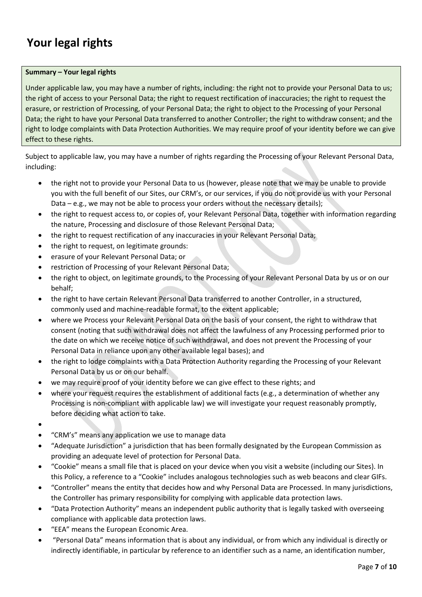### **Your legal rights**

### **Summary – Your legal rights**

Under applicable law, you may have a number of rights, including: the right not to provide your Personal Data to us; the right of access to your Personal Data; the right to request rectification of inaccuracies; the right to request the erasure, or restriction of Processing, of your Personal Data; the right to object to the Processing of your Personal Data; the right to have your Personal Data transferred to another Controller; the right to withdraw consent; and the right to lodge complaints with Data Protection Authorities. We may require proof of your identity before we can give effect to these rights.

Subject to applicable law, you may have a number of rights regarding the Processing of your Relevant Personal Data, including:

- the right not to provide your Personal Data to us (however, please note that we may be unable to provide you with the full benefit of our Sites, our CRM's, or our services, if you do not provide us with your Personal Data – e.g., we may not be able to process your orders without the necessary details);
- the right to request access to, or copies of, your Relevant Personal Data, together with information regarding the nature, Processing and disclosure of those Relevant Personal Data;
- the right to request rectification of any inaccuracies in your Relevant Personal Data;
- the right to request, on legitimate grounds:
- erasure of your Relevant Personal Data; or
- restriction of Processing of your Relevant Personal Data;
- the right to object, on legitimate grounds, to the Processing of your Relevant Personal Data by us or on our behalf;
- the right to have certain Relevant Personal Data transferred to another Controller, in a structured, commonly used and machine‐readable format, to the extent applicable;
- where we Process your Relevant Personal Data on the basis of your consent, the right to withdraw that consent (noting that such withdrawal does not affect the lawfulness of any Processing performed prior to the date on which we receive notice of such withdrawal, and does not prevent the Processing of your Personal Data in reliance upon any other available legal bases); and
- the right to lodge complaints with a Data Protection Authority regarding the Processing of your Relevant Personal Data by us or on our behalf.
- we may require proof of your identity before we can give effect to these rights; and
- where your request requires the establishment of additional facts (e.g., a determination of whether any Processing is non‐compliant with applicable law) we will investigate your request reasonably promptly, before deciding what action to take.
- $\bullet$
- "CRM's" means any application we use to manage data
- "Adequate Jurisdiction" a jurisdiction that has been formally designated by the European Commission as providing an adequate level of protection for Personal Data.
- "Cookie" means a small file that is placed on your device when you visit a website (including our Sites). In this Policy, a reference to a "Cookie" includes analogous technologies such as web beacons and clear GIFs.
- "Controller" means the entity that decides how and why Personal Data are Processed. In many jurisdictions, the Controller has primary responsibility for complying with applicable data protection laws.
- "Data Protection Authority" means an independent public authority that is legally tasked with overseeing compliance with applicable data protection laws.
- "EEA" means the European Economic Area.
- "Personal Data" means information that is about any individual, or from which any individual is directly or indirectly identifiable, in particular by reference to an identifier such as a name, an identification number,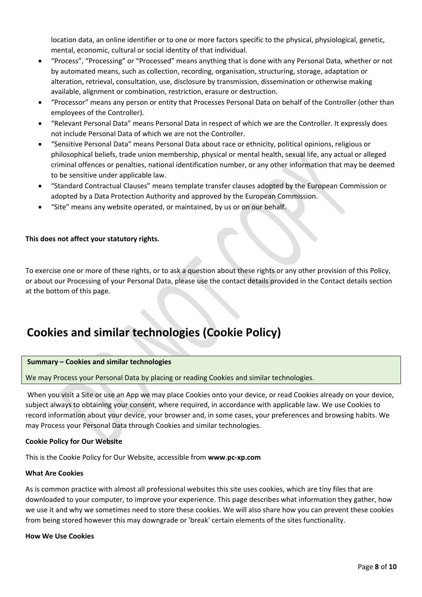location data, an online identifier or to one or more factors specific to the physical, physiological, genetic, mental, economic, cultural or social identity of that individual.

- "Process", "Processing" or "Processed" means anything that is done with any Personal Data, whether or not by automated means, such as collection, recording, organisation, structuring, storage, adaptation or alteration, retrieval, consultation, use, disclosure by transmission, dissemination or otherwise making available, alignment or combination, restriction, erasure or destruction.
- "Processor" means any person or entity that Processes Personal Data on behalf of the Controller (other than employees of the Controller).
- "Relevant Personal Data" means Personal Data in respect of which we are the Controller. It expressly does not include Personal Data of which we are not the Controller.
- "Sensitive Personal Data" means Personal Data about race or ethnicity, political opinions, religious or philosophical beliefs, trade union membership, physical or mental health, sexual life, any actual or alleged criminal offences or penalties, national identification number, or any other information that may be deemed to be sensitive under applicable law.
- "Standard Contractual Clauses" means template transfer clauses adopted by the European Commission or adopted by a Data Protection Authority and approved by the European Commission.
- "Site" means any website operated, or maintained, by us or on our behalf.

### **This does not affect your statutory rights.**

To exercise one or more of these rights, or to ask a question about these rights or any other provision of this Policy, or about our Processing of your Personal Data, please use the contact details provided in the Contact details section at the bottom of this page.

### **Cookies and similar technologies (Cookie Policy)**

#### **Summary – Cookies and similar technologies**

We may Process your Personal Data by placing or reading Cookies and similar technologies.

 When you visit a Site or use an App we may place Cookies onto your device, or read Cookies already on your device, subject always to obtaining your consent, where required, in accordance with applicable law. We use Cookies to record information about your device, your browser and, in some cases, your preferences and browsing habits. We may Process your Personal Data through Cookies and similar technologies.

### **Cookie Policy for Our Website**

This is the Cookie Policy for Our Website, accessible from **www**.**pc‐xp.com**

#### **What Are Cookies**

As is common practice with almost all professional websites this site uses cookies, which are tiny files that are downloaded to your computer, to improve your experience. This page describes what information they gather, how we use it and why we sometimes need to store these cookies. We will also share how you can prevent these cookies from being stored however this may downgrade or 'break' certain elements of the sites functionality.

#### **How We Use Cookies**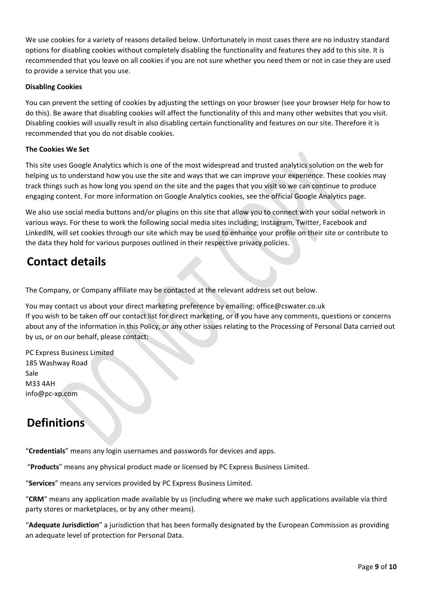We use cookies for a variety of reasons detailed below. Unfortunately in most cases there are no industry standard options for disabling cookies without completely disabling the functionality and features they add to this site. It is recommended that you leave on all cookies if you are not sure whether you need them or not in case they are used to provide a service that you use.

### **Disabling Cookies**

You can prevent the setting of cookies by adjusting the settings on your browser (see your browser Help for how to do this). Be aware that disabling cookies will affect the functionality of this and many other websites that you visit. Disabling cookies will usually result in also disabling certain functionality and features on our site. Therefore it is recommended that you do not disable cookies.

### **The Cookies We Set**

This site uses Google Analytics which is one of the most widespread and trusted analytics solution on the web for helping us to understand how you use the site and ways that we can improve your experience. These cookies may track things such as how long you spend on the site and the pages that you visit so we can continue to produce engaging content. For more information on Google Analytics cookies, see the official Google Analytics page.

We also use social media buttons and/or plugins on this site that allow you to connect with your social network in various ways. For these to work the following social media sites including; Instagram, Twitter, Facebook and LinkedIN, will set cookies through our site which may be used to enhance your profile on their site or contribute to the data they hold for various purposes outlined in their respective privacy policies.

### **Contact details**

The Company, or Company affiliate may be contacted at the relevant address set out below.

You may contact us about your direct marketing preference by emailing: office@cswater.co.uk If you wish to be taken off our contact list for direct marketing, or if you have any comments, questions or concerns about any of the information in this Policy, or any other issues relating to the Processing of Personal Data carried out by us, or on our behalf, please contact:

PC Express Business Limited 185 Washway Road Sale M33 4AH info@pc‐xp.com

### **Definitions**

"**Credentials**" means any login usernames and passwords for devices and apps.

"**Products**" means any physical product made or licensed by PC Express Business Limited.

"**Services**" means any services provided by PC Express Business Limited.

"**CRM**" means any application made available by us (including where we make such applications available via third party stores or marketplaces, or by any other means).

"**Adequate Jurisdiction**" a jurisdiction that has been formally designated by the European Commission as providing an adequate level of protection for Personal Data.